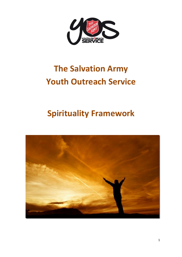

# **The Salvation Army Youth Outreach Service**

# **Spirituality Framework**

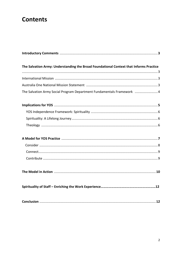# **Contents**

| The Salvation Army: Understanding the Broad Foundational Context that Informs Practice |  |
|----------------------------------------------------------------------------------------|--|
|                                                                                        |  |
|                                                                                        |  |
| The Salvation Army Social Program Department Fundamentals Framework  4                 |  |
|                                                                                        |  |
|                                                                                        |  |
|                                                                                        |  |
|                                                                                        |  |
|                                                                                        |  |
|                                                                                        |  |
|                                                                                        |  |
|                                                                                        |  |
|                                                                                        |  |
|                                                                                        |  |
|                                                                                        |  |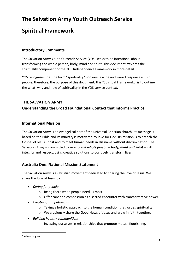# **The Salvation Army Youth Outreach Service**

# **Spiritual Framework**

#### **Introductory Comments**

The Salvation Army Youth Outreach Service (YOS) seeks to be intentional about transforming the whole person, body, mind and spirit. This document explores the spirituality component of the YOS Independence Framework in more detail.

YOS recognises that the term "spirituality" conjures a wide and varied response within people, therefore, the purpose of this document, this "Spiritual Framework," is to outline the what, why and how of spirituality in the YOS service context.

#### **THE SALVATION ARMY:**

### **Understanding the Broad Foundational Context that Informs Practice**

#### **International Mission**

The Salvation Army is an evangelical part of the universal Christian church. Its message is based on the Bible and its ministry is motivated by love for God. Its mission is to preach the Gospel of Jesus Christ and to meet human needs in His name without discrimination. The Salvation Army is committed to serving *the whole person – body, mind and spirit* – with integrity and respect, using creative solutions to positively transform lives.  $1$ 

#### **Australia One: National Mission Statement**

The Salvation Army is a Christian movement dedicated to sharing the love of Jesus. We share the love of Jesus by:

- *Caring for people:* 
	- o Being there when people need us most.
	- $\circ$  Offer care and compassion as a sacred encounter with transformative power.
- *Creating faith pathways:* 
	- o Taking a holistic approach to the human condition that values spirituality.
	- o We graciously share the Good News of Jesus and grow in faith together.
- *Building healthy communities:*
	- o Investing ourselves in relationships that promote mutual flourishing.

<sup>&</sup>lt;sup>1</sup> salvos.org.au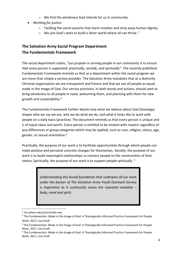- o We find the wholeness God intends for us in community.
- *Working for justice:*
	- o Tackling the social systems that harm creation and strip away human dignity.
	- $\circ$  We join God's work to build a fairer world where all can thrive. <sup>2</sup>

# **The Salvation Army Social Program Department The Fundamentals Framework**

The social department states, "*our purpose in serving people in our community is to ensure that every person is supported: practically, socially, and spiritually".* The recently published Fundamentals Framework reminds us that as a department within the social program we are more than simply a service provider. The Salvation Army mandates that as a distinctly Christian organisation we are transparent and honest and that we see all people as equal, made in the image of God. Our service provision, in both words and actions, should seek to bring wholeness to all people in need, welcoming them, and planning with them for new growth and sustainability.<sup>3</sup>

The Fundamentals Framework further details how what we believe about God (theology) shapes who we say we are, why we do what we do, and what it looks like to work with people on a daily basis (practice). The document reminds us that every person is unique and is of equal value and worth. Every person is entitled to be treated with respect regardless of any differences or group categories which may be applied, such as race, religion, status, age, gender, or sexual orientation.<sup>4</sup>

Practically, the purpose of our work is to facilitate opportunities through which people can make positive and personal concrete changes for themselves. Socially, the purpose of our work is to build meaningful relationships to connect people to the communities of their choice. Spiritually, the purpose of our work is to support people spiritually. <sup>5</sup>

> *Understanding this broad foundation that underpins all our work under the banner of The Salvation Army Youth Outreach Service is imperative as it continually voices the repeated mandate – body, mind and spirit.*

<sup>1</sup> <sup>2</sup> my.salvos.org.au/australia-one

<sup>&</sup>lt;sup>3</sup> The Fundamentals: Made in the Image of God: A Theologically Informed Practice Framework for People Work, 2017, Live Draft.

<sup>4</sup> The Fundamentals: Made in the Image of God: A Theologically Informed Practice Framework for People Work, 2017, Live Draft.

<sup>5</sup> The Fundamentals: Made in the Image of God: A Theologically Informed Practice Framework for People Work, 2017, Live Draft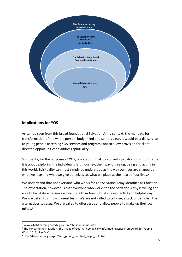

### **Implications for YOS**

As can be seen from this broad foundational Salvation Army context, the mandate for transformation of the whole person, body, mind and spirit is clear. It would be a dis-service to young people accessing YOS services and programs not to allow provision for client directed opportunities to address spirituality.

Spirituality, for the purposes of YOS, is not about making converts to Salvationism but rather it is about exploring the individual's faith journey, their way of seeing, being and acting in this world. Spirituality can most simply be understood as the way our lives are shaped by what we love and what we give ourselves to, what we place at the heart of our lives.<sup>6</sup>

We understand that not everyone who works for The Salvation Army identifies as Christian. The expectation, however, is that everyone who works for The Salvation Army is willing and able to facilitate a person's access to faith in Jesus Christ in a respectful and helpful way.<sup>7</sup> We are called to simply present Jesus. We are not called to criticise, attack or demolish the alternatives to Jesus. We are called to offer Jesus and allow people to make up their own minds.<sup>8</sup>

<sup>6</sup> www.whatiflearning.com/big-picture/christian-spirituality

<sup>&</sup>lt;sup>7</sup> The Fundamentals: Made in the Image of God: A Theologically Informed Practice Framework for People Work, 2017, Live Draft

<sup>&</sup>lt;sup>8</sup> http://hazelden.org.uk/pt02/art\_pt068\_modified\_engel\_full.htm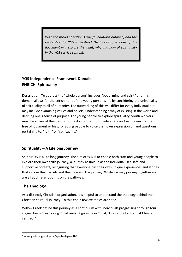*With the broad Salvation Army foundations outlined, and the implication for YOS understood, the following sections of this document will explore the what, why and how of spirituality in the YOS service context.* 

# **YOS Independence Framework Domain ENRICH: Spirituality**

**Description:** To address the "whole person" includes "body, mind and spirit" and this domain allows for the enrichment of the young person's life by considering the universality of spirituality to all of humanity. The outworking of this will differ for every individual but may include examining values and beliefs, understanding a way of existing in the world and defining one's sense of purpose. For young people to explore spirituality, youth workers must be aware of their own spirituality in order to provide a safe and secure environment, free of judgment or bias, for young people to voice their own expression of, and questions pertaining to, "faith" or "spirituality."

# **Spirituality – A Lifelong Journey**

Spirituality is a life long journey. The aim of YOS is to enable both staff and young people to explore their own faith journey, a journey as unique as the individual, in a safe and supportive context, recognising that everyone has their own unique experiences and stories that inform their beliefs and their place in the journey. While we may journey together we are all at different points on the pathway.

#### **The Theology**

As a distinctly Christian organisation, it is helpful to understand the theology behind the Christian spiritual journey. To this end a few examples are sited:

Willow Creek define this journey as a continuum with individuals progressing through four stages, being 1.exploring Christianity, 2.growing in Christ, 3.close to Christ and 4.Christcentred. 9

**<sup>.</sup>** <sup>9</sup> www.ghclc.org/welcome/spiritual-growth/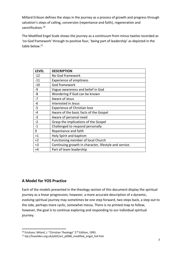Millard Erikson defines the steps in the journey as a process of growth and progress through salvation's steps of calling, conversion (repentance and faith), regeneration and sanctification.<sup>10</sup>

The Modified Engel Scale shows the journey as a continuum from minus twelve recorded as 'no God framework' through to positive four, 'being part of leadership' as depicted in the table below.<sup>11</sup>

| <b>LEVEL</b> | <b>DESCRIPTION</b>                                     |
|--------------|--------------------------------------------------------|
| $-12$        | No God framework                                       |
| $-11$        | <b>Experience of emptiness</b>                         |
| $-10$        | God framework                                          |
| -9           | Vague awareness and belief in God                      |
| -8           | Wondering if God can be known                          |
| $-7$         | Aware of Jesus                                         |
| -6           | Interested in Jesus                                    |
| -5           | <b>Experience of Christian love</b>                    |
| $-4$         | Aware of the basic facts of the Gospel                 |
| $-3$         | Aware of personal need                                 |
| $-2$         | Grasp the implications of the Gospel                   |
| $-1$         | Challenged to respond personally                       |
| 0            | Repentance and faith                                   |
| $+1$         | Holy Spirit and baptism                                |
| $+2$         | Functioning member of local Church                     |
| $+3$         | Continuing growth in character, lifestyle and service. |
| $+4$         | Part of team leadership                                |

# **A Model for YOS Practice**

1

Each of the models presented in the theology section of this document display the spiritual journey as a linear progression, however, a more accurate description of a dynamic, evolving spiritual journey may sometimes be one step forward, two steps back, a step out to the side, perhaps more cyclic, somewhat messy. There is no printed map to follow, however, the goal is to continue exploring and responding to our individual spiritual journey.

<sup>&</sup>lt;sup>10</sup> Erickson, Milard, J. "Christian Theology" 2<sup>nd</sup> Edition, 1993.

 $11$  ttp://hazelden.org.uk/pt02/art\_pt068\_modified\_engel\_full.htm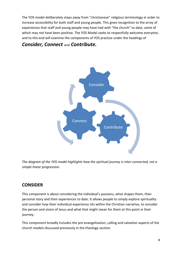The YOS model deliberately steps away from "christianese" religious terminology in order to increase accessibility for both staff and young people. This gives recognition to the array of experiences that staff and young people may have had with "the church" to date, some of which may not have been positive. The YOS Model seeks to respectfully welcome everyone, and to this end will examine the components of YOS practice under the headings of

# *Consider, Connect* and *Contribute.*



*The diagram of the YOS model highlights how the spiritual journey is inter-connected, not a simple linear progression.* 

# **CONSIDER**

This component is about considering the individual's passions, what shapes them, their personal story and their experiences to date. It allows people to simply explore spirituality and consider how their individual experience sits within the Christian narrative, to consider the person and vision of Jesus and what that might mean for them at this point in their journey.

This component broadly includes the pre-evangelisation, calling and salvation aspects of the church models discussed previously in the theology section.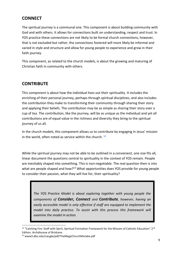# **CONNECT**

The spiritual journey is a communal one. This component is about building community with God and with others. It allows for connections built on understanding, respect and trust. In YOS practice these connections are not likely to be formal church connections, however, that is not excluded but rather, the connections fostered will more likely be informal and varied in style and structure and allow for young people to experience and grow in their faith journey.

This component, as related to the church models, is about the growing and maturing of Christian faith in community with others.

# **CONTRIBUTE**

This component is about how the individual lives out their spirituality. It includes the enriching of their personal journey, perhaps through spiritual disciplines, and also includes the contribution they make to transforming their community through sharing their story and applying their beliefs. The contribution may be as simple as sharing their story over a cup of tea. The contribution, like the journey, will be as unique as the individual and yet all contributions are of equal value in the richness and diversity they bring to the spiritual journey of us all.

In the church models, this component allows us to contribute by engaging in Jesus' mission in the world, often noted as service within the church. **12**

While the spiritual journey may not be able to be outlined in a convenient, one size fits all, linear document the questions central to spirituality in the context of YOS remain. People are inevitably shaped into something. This is non-negotiable. The real question then is into what are people shaped and how?<sup>13</sup> What opportunities does YOS provide for young people to consider their passion, what they will live for, their spirituality?

*The YOS Practice Model is about exploring together with young people the components of Consider, Connect and Contribute, however, having an easily accessible model is only effective if staff are equipped to implement the model into daily practice. To assist with this process this framework will examine the model in action.* 

<sup>&</sup>lt;sup>12</sup> "Catching Fire: Staff with Spirit, Spiritual Formation Framework for the Mission of Catholic Education" 2<sup>nd</sup> Edition. Archdiocese of Brisbane.

<sup>13</sup> www3.dbu.edu/naugle/pdf/TheMegaChurchMistake.pdf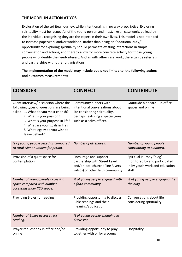# **THE MODEL IN ACTION AT YOS**

Exploration of the spiritual journey, while intentional, is in no way prescriptive. Exploring spirituality must be respectful of the young person and must, like all case work, be lead by the individual, recognising they are the expert in their own lives. This model is not intended to increase paperwork and/or workload. Rather than being an "additional duty," opportunity for exploring spirituality should permeate existing interactions in simple conversation and actions, and thereby allow for more concrete activity for those young people who identify the need/interest. And as with other case work, there can be referrals and partnerships with other organisations.

**The implementation of the model may include but is not limited to, the following actions and outcomes measurements:**

| <b>CONSIDER</b>                                                                                                                                                                                                                                                              | <b>CONNECT</b>                                                                                                                                               | <b>CONTRIBUTE</b>                                                                                     |
|------------------------------------------------------------------------------------------------------------------------------------------------------------------------------------------------------------------------------------------------------------------------------|--------------------------------------------------------------------------------------------------------------------------------------------------------------|-------------------------------------------------------------------------------------------------------|
| Client interview/ discussion where the<br>following types of questions are being<br>asked: 1. What do you most cherish?<br>2. What is your passion?<br>3. What is your purpose in life?<br>4. What are your goals in life?<br>5. What legacy do you wish to<br>leave behind? | Community dinners with<br>intentional conversations about<br>life considering spirituality,<br>perhaps featuring a special guest<br>such as a Salvo officer. | Gratitude pinboard - in office<br>spaces and online                                                   |
| % of young people asked as compared<br>to total client numbers for period.                                                                                                                                                                                                   | Number of attendees.                                                                                                                                         | Number of young people<br>contributing to pinboard.                                                   |
| Provision of a quiet space for<br>contemplation                                                                                                                                                                                                                              | Encourage and support<br>partnership with Street Level<br>and/or local church (Pine Rivers<br>Salvos) or other faith community.                              | Spiritual journey "blog"<br>monitored by and participated<br>in by youth work and education<br>staff. |
| Number of young people accessing<br>space compared with number<br>accessing wider YOS space.                                                                                                                                                                                 | % of young people engaged with<br>a faith community.                                                                                                         | % of young people engaging the<br>the blog.                                                           |
| Providing Bibles for reading                                                                                                                                                                                                                                                 | Providing opportunity to discuss<br>Bible readings and their<br>meaning/application                                                                          | Conversations about life<br>considering spirituality                                                  |
| Number of Bibles accessed for<br>reading.                                                                                                                                                                                                                                    | % of young people engaging in<br>discussion.                                                                                                                 |                                                                                                       |
| Prayer request box in office and/or<br>online                                                                                                                                                                                                                                | Providing opportunity to pray<br>together with or for a young                                                                                                | Hospitality                                                                                           |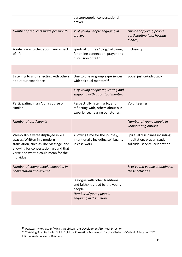|                                                                                                                                                                                                            | person/people, conversational<br>prayer.                                                                |                                                                                                 |
|------------------------------------------------------------------------------------------------------------------------------------------------------------------------------------------------------------|---------------------------------------------------------------------------------------------------------|-------------------------------------------------------------------------------------------------|
| Number of requests made per month.                                                                                                                                                                         | % of young people engaging in<br>prayer.                                                                | Number of young people<br>participating (e.g. hosting<br>dinner)                                |
| A safe place to chat about any aspect<br>of life                                                                                                                                                           | Spiritual journey "blog," allowing<br>for online connection, prayer and<br>discussion of faith          | Inclusivity                                                                                     |
|                                                                                                                                                                                                            |                                                                                                         |                                                                                                 |
| Listening to and reflecting with others<br>about our experience                                                                                                                                            | One to one or group experiences<br>with spiritual mentors <sup>14</sup>                                 | Social justice/advocacy                                                                         |
|                                                                                                                                                                                                            | % of young people requesting and<br>engaging with a spiritual mentor.                                   |                                                                                                 |
| Participating in an Alpha course or<br>similar                                                                                                                                                             | Respectfully listening to, and<br>reflecting with, others about our<br>experience, hearing our stories. | Volunteering                                                                                    |
| Number of participants                                                                                                                                                                                     |                                                                                                         | Number of young people in<br>volunteering options.                                              |
| Weeky Bible verse displayed in YOS<br>spaces. Written in a modern<br>translation, such as The Message, and<br>allowing for conversation around that<br>verse and what it could mean for the<br>individual. | Allowing time for the journey,<br>intentionally including spirituality<br>in case work.                 | Spiritual disciplines including<br>meditation, prayer, study,<br>solitude, service, celebration |
| Number of young people engaging in<br>conversation about verse.                                                                                                                                            |                                                                                                         | % of young people engaging in<br>these activities.                                              |
|                                                                                                                                                                                                            | Dialogue with other traditions<br>and faiths <sup>15</sup> as lead by the young<br>people.              |                                                                                                 |
|                                                                                                                                                                                                            | Number of young people<br>engaging in discussion.                                                       |                                                                                                 |

<sup>&</sup>lt;sup>14</sup> www.sarmy.org.au/en/Ministry/Spiritual-Life-Development/Spiritual-Direction

<sup>15</sup> "Catching Fire: Staff with Spirit, Spiritual Formation Framework for the Mission of Catholic Education" 2nd Edition. Archdiocese of Brisbane.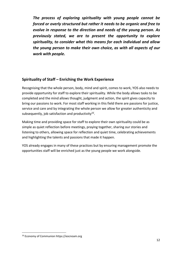*The process of exploring spirituality with young people cannot be forced or overly structured but rather it needs to be organic and free to evolve in response to the direction and needs of the young person. As previously stated, we are to present the opportunity to explore spirituality, to consider what this means for each individual and allow the young person to make their own choice, as with all aspects of our work with people.*

#### **Spirituality of Staff – Enriching the Work Experience**

Recognising that the whole person, body, mind and spirit, comes to work, YOS also needs to provide opportunity for staff to explore their spirituality. While the body allows tasks to be completed and the mind allows thought, judgment and action, the spirit gives capacity to bring our passions to work. For most staff working in this field there are passions for justice, service and care and by integrating the whole person we allow for greater authenticity and subsequently, job satisfaction and productivity $^{16}$ .

Making time and providing space for staff to explore their own spirituality could be as simple as quiet reflection before meetings, praying together, sharing our stories and listening to others, allowing space for reflection and quiet time, celebrating achievements and highlighting the talents and passions that made it happen.

YOS already engages in many of these practices but by ensuring management promote the opportunities staff will be enriched just as the young people we work alongside.

**<sup>.</sup>** <sup>16</sup> Economy of Communion https://eocnoam.org